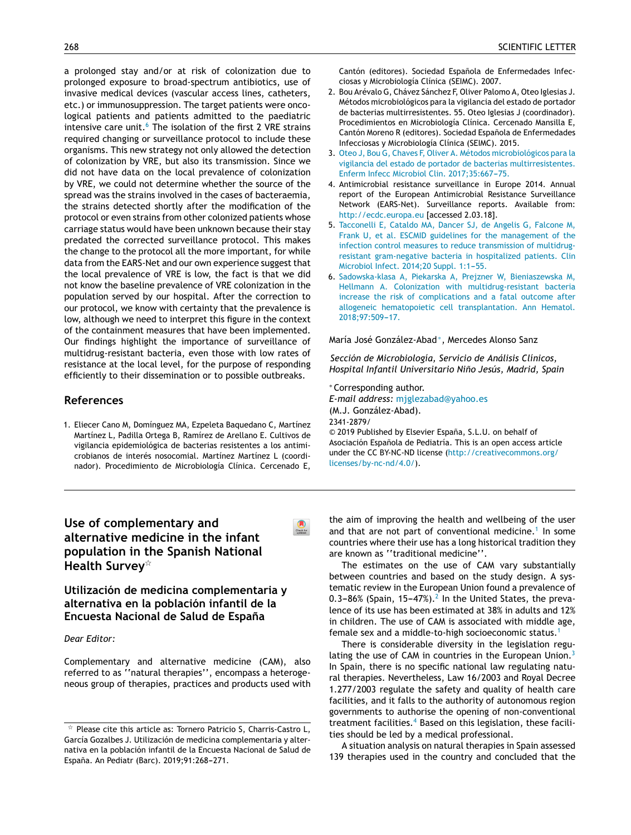a [pro](http://refhub.elsevier.com/S2341-2879(19)30151-6/sbref0050)l[onged](http://refhub.elsevier.com/S2341-2879(19)30151-6/sbref0050) sta[y](http://refhub.elsevier.com/S2341-2879(19)30151-6/sbref0050) [and/or](http://refhub.elsevier.com/S2341-2879(19)30151-6/sbref0050) at ris[k](http://refhub.elsevier.com/S2341-2879(19)30151-6/sbref0050) of [colonization](http://refhub.elsevier.com/S2341-2879(19)30151-6/sbref0050) due to [prolonged](http://refhub.elsevier.com/S2341-2879(19)30151-6/sbref0050) e[xposure](http://refhub.elsevier.com/S2341-2879(19)30151-6/sbref0050) to [broad-spectrum](http://refhub.elsevier.com/S2341-2879(19)30151-6/sbref0050) a[ntibiotics,](http://refhub.elsevier.com/S2341-2879(19)30151-6/sbref0050) u[se](http://refhub.elsevier.com/S2341-2879(19)30151-6/sbref0050) of [invas](http://refhub.elsevier.com/S2341-2879(19)30151-6/sbref0055)i[ve](http://refhub.elsevier.com/S2341-2879(19)30151-6/sbref0055) [medical](http://refhub.elsevier.com/S2341-2879(19)30151-6/sbref0055) [devices](http://refhub.elsevier.com/S2341-2879(19)30151-6/sbref0055) ([vasc](http://refhub.elsevier.com/S2341-2879(19)30151-6/sbref0055)ular [access](http://refhub.elsevier.com/S2341-2879(19)30151-6/sbref0055) l[ines,](http://refhub.elsevier.com/S2341-2879(19)30151-6/sbref0055) [catheter](http://refhub.elsevier.com/S2341-2879(19)30151-6/sbref0055)s, [et](http://refhub.elsevier.com/S2341-2879(19)30151-6/sbref0055)c.) or [immunosuppression.](http://refhub.elsevier.com/S2341-2879(19)30151-6/sbref0055) T[he](http://refhub.elsevier.com/S2341-2879(19)30151-6/sbref0055) [target](http://refhub.elsevier.com/S2341-2879(19)30151-6/sbref0055) [patients](http://refhub.elsevier.com/S2341-2879(19)30151-6/sbref0055) were [onc](http://refhub.elsevier.com/S2341-2879(19)30151-6/sbref0055)o[logical](http://refhub.elsevier.com/S2341-2879(19)30151-6/sbref0055) pa[tients](http://refhub.elsevier.com/S2341-2879(19)30151-6/sbref0055) [and](http://refhub.elsevier.com/S2341-2879(19)30151-6/sbref0055) pa[tients](http://refhub.elsevier.com/S2341-2879(19)30151-6/sbref0055) [a](http://refhub.elsevier.com/S2341-2879(19)30151-6/sbref0055)dmitted to the paediatric [intensive](http://refhub.elsevier.com/S2341-2879(19)30151-6/sbref0060) care [unit.](http://refhub.elsevier.com/S2341-2879(19)30151-6/sbref0060)<sup>6</sup> [Th](http://refhub.elsevier.com/S2341-2879(19)30151-6/sbref0060)e [isolat](http://refhub.elsevier.com/S2341-2879(19)30151-6/sbref0060)i[on](http://refhub.elsevier.com/S2341-2879(19)30151-6/sbref0060) of the [first](http://refhub.elsevier.com/S2341-2879(19)30151-6/sbref0060) 2 V[RE](http://refhub.elsevier.com/S2341-2879(19)30151-6/sbref0060) s[trai](http://refhub.elsevier.com/S2341-2879(19)30151-6/sbref0060)ns required [changing](http://refhub.elsevier.com/S2341-2879(19)30151-6/sbref0060) or surveillance protocol to include these organisms. This new strategy not only allowed the detection of colonization by VRE, but also its transmission. Since we did not have data on the local prevalence of colonization by VRE, we could not determine whether the source of the spread was the strains involved in the cases of bacteraemia, the strains detected shortly after the modification of [the](http://crossmark.crossref.org/dialog/?doi=10.1016/j.anpede.2018.11.016&domain=pdf) protocol or even strains from other colonized patients whose carriage status would have been unknown because their stay predated the corrected surveillance protocol. This makes the change to the protocol all the more important, for while data from the EARS-Net and our own experience suggest that the local prevalence of VRE is low, the fact is that [we](http://crossmark.crossref.org/dialog/?doi=10.1016/j.anpede.2018.11.016&domain=pdf) did not know the baseline prevalence of VRE colonization in the population served by our hospital. After the correction to our protocol, we know with certainty that the prevalence is low, although we need to interpret this figure in the context of the containment measures that have been implemented. Our findings highlight the importance of surveillance of multidrug-resistant bacteria, even those with low rates of resistance at the local level, for the purpose of responding efficiently to their dissemination or to possible outbreaks.

## **References**

1. Eliecer Cano M, Domínguez MA, Ezpeleta Baquedano C, Martínez Martínez L, Padilla Ortega B, Ramírez de Arellano E. Cultivos de vigilancia epidemiológica de bacterias resistentes a los antimicrobianos de interés nosocomial. Martínez Martínez L (coordinador). Procedimiento de Microbiología Clínica. Cercenado E,

 $\bullet$ 

Cantón (editores). Sociedad Española de Enfermedades Infecciosas y Microbiología Clínica (SEIMC). 2007.

- 2. Bou Arévalo G, Chávez Sánchez F, Oliver Palomo A, Oteo Iglesias J. Métodos microbiológicos para la vigilancia del estado de portador de bacterias multirresistentes. 55. Oteo Iglesias J (coordinador). Procedimientos en [Microbiología](mailto:giselle_cuestas@yahoo.com.ar) Clínica. Cercenado Mansilla E, Cantón Moreno R (editores). Sociedad Española de Enfermedades [Infecciosas](http://www.analesdepediatria.org) y Microbiología Clínica (SEIMC). 2015.
- 3. [Oteo](http://refhub.elsevier.com/S2341-2879(19)30151-6/sbref0045) [J,](http://refhub.elsevier.com/S2341-2879(19)30151-6/sbref0045) [Bou](http://refhub.elsevier.com/S2341-2879(19)30151-6/sbref0045) [G,](http://refhub.elsevier.com/S2341-2879(19)30151-6/sbref0045) [Chaves](http://refhub.elsevier.com/S2341-2879(19)30151-6/sbref0045) [F,](http://refhub.elsevier.com/S2341-2879(19)30151-6/sbref0045) [Oliver](http://refhub.elsevier.com/S2341-2879(19)30151-6/sbref0045) [A.](http://refhub.elsevier.com/S2341-2879(19)30151-6/sbref0045) [Métodos](http://refhub.elsevier.com/S2341-2879(19)30151-6/sbref0045) [microbiológicos](http://refhub.elsevier.com/S2341-2879(19)30151-6/sbref0045) [para](http://refhub.elsevier.com/S2341-2879(19)30151-6/sbref0045) [la](http://refhub.elsevier.com/S2341-2879(19)30151-6/sbref0045) [vigilancia](http://refhub.elsevier.com/S2341-2879(19)30151-6/sbref0045) [del](http://refhub.elsevier.com/S2341-2879(19)30151-6/sbref0045) [estado](http://refhub.elsevier.com/S2341-2879(19)30151-6/sbref0045) [de](http://refhub.elsevier.com/S2341-2879(19)30151-6/sbref0045) [portador](http://refhub.elsevier.com/S2341-2879(19)30151-6/sbref0045) [de](http://refhub.elsevier.com/S2341-2879(19)30151-6/sbref0045) [bacterias](http://creativecommons.org/licenses/by-nc-nd/4.0/) [multirresistentes.](http://refhub.elsevier.com/S2341-2879(19)30151-6/sbref0045) [Enf](http://creativecommons.org/licenses/by-nc-nd/4.0/)[e](http://refhub.elsevier.com/S2341-2879(19)30151-6/sbref0045)[rm](http://creativecommons.org/licenses/by-nc-nd/4.0/) [Inf](http://refhub.elsevier.com/S2341-2879(19)30151-6/sbref0045)[ecc](http://creativecommons.org/licenses/by-nc-nd/4.0/) [M](http://refhub.elsevier.com/S2341-2879(19)30151-6/sbref0045)[ic](http://creativecommons.org/licenses/by-nc-nd/4.0/)[robiol](http://refhub.elsevier.com/S2341-2879(19)30151-6/sbref0045) [Clin.](http://refhub.elsevier.com/S2341-2879(19)30151-6/sbref0045) 2017;35:667-75.
- 4. Antimicrobial resistance surveillance in Europe 2014. Annual report of the European Antimicrobial Resistance Surveillance Network (EARS-Net). Surveillance reports. Available from: [http://ecdc.europa.eu](http://ecdc.europa.eu/) [accessed 2.03.18].
- 5. [Tacconelli](http://refhub.elsevier.com/S2341-2879(19)30151-6/sbref0055) [E,](http://refhub.elsevier.com/S2341-2879(19)30151-6/sbref0055) [Cataldo](http://refhub.elsevier.com/S2341-2879(19)30151-6/sbref0055) [MA,](http://refhub.elsevier.com/S2341-2879(19)30151-6/sbref0055) [Dancer](http://refhub.elsevier.com/S2341-2879(19)30151-6/sbref0055) [SJ,](http://refhub.elsevier.com/S2341-2879(19)30151-6/sbref0055) [de](http://refhub.elsevier.com/S2341-2879(19)30151-6/sbref0055) [Angelis](http://refhub.elsevier.com/S2341-2879(19)30151-6/sbref0055) [G,](http://refhub.elsevier.com/S2341-2879(19)30151-6/sbref0055) [Falcone](http://refhub.elsevier.com/S2341-2879(19)30151-6/sbref0055) [M,](http://refhub.elsevier.com/S2341-2879(19)30151-6/sbref0055) [Frank](http://refhub.elsevier.com/S2341-2879(19)30151-6/sbref0055) [U,](http://refhub.elsevier.com/S2341-2879(19)30151-6/sbref0055) [et](http://refhub.elsevier.com/S2341-2879(19)30151-6/sbref0055) [al.](http://refhub.elsevier.com/S2341-2879(19)30151-6/sbref0055) [ESCMID](http://refhub.elsevier.com/S2341-2879(19)30151-6/sbref0055) [guidelines](http://refhub.elsevier.com/S2341-2879(19)30151-6/sbref0055) [for](http://refhub.elsevier.com/S2341-2879(19)30151-6/sbref0055) [the](http://refhub.elsevier.com/S2341-2879(19)30151-6/sbref0055) [management](http://refhub.elsevier.com/S2341-2879(19)30151-6/sbref0055) [of](http://refhub.elsevier.com/S2341-2879(19)30151-6/sbref0055) [the](http://refhub.elsevier.com/S2341-2879(19)30151-6/sbref0055) [infection](http://refhub.elsevier.com/S2341-2879(19)30151-6/sbref0055) [control](http://refhub.elsevier.com/S2341-2879(19)30151-6/sbref0055) [measures](http://refhub.elsevier.com/S2341-2879(19)30151-6/sbref0055) [to](http://refhub.elsevier.com/S2341-2879(19)30151-6/sbref0055) [reduce](http://refhub.elsevier.com/S2341-2879(19)30151-6/sbref0055) [transmission](http://refhub.elsevier.com/S2341-2879(19)30151-6/sbref0055) [of](http://refhub.elsevier.com/S2341-2879(19)30151-6/sbref0055) [multidrug](http://refhub.elsevier.com/S2341-2879(19)30151-6/sbref0055)[resistant](http://refhub.elsevier.com/S2341-2879(19)30151-6/sbref0055) [gram-negative](http://refhub.elsevier.com/S2341-2879(19)30151-6/sbref0055) [bacteria](http://refhub.elsevier.com/S2341-2879(19)30151-6/sbref0055) [in](http://refhub.elsevier.com/S2341-2879(19)30151-6/sbref0055) [hospitalized](http://refhub.elsevier.com/S2341-2879(19)30151-6/sbref0055) [patients.](http://refhub.elsevier.com/S2341-2879(19)30151-6/sbref0055) [Clin](http://refhub.elsevier.com/S2341-2879(19)30151-6/sbref0055) [Microbiol](http://refhub.elsevier.com/S2341-2879(19)30151-6/sbref0055) [Infect.](http://refhub.elsevier.com/S2341-2879(19)30151-6/sbref0055) [2014;20](http://refhub.elsevier.com/S2341-2879(19)30151-6/sbref0055) [Suppl.](http://refhub.elsevier.com/S2341-2879(19)30151-6/sbref0055) [1:1](http://refhub.elsevier.com/S2341-2879(19)30151-6/sbref0055)-[55.](http://refhub.elsevier.com/S2341-2879(19)30151-6/sbref0055)
- 6. [Sadowska-klasa](http://refhub.elsevier.com/S2341-2879(19)30151-6/sbref0060) [A,](http://refhub.elsevier.com/S2341-2879(19)30151-6/sbref0060) [Piekarska](http://refhub.elsevier.com/S2341-2879(19)30151-6/sbref0060) [A,](http://refhub.elsevier.com/S2341-2879(19)30151-6/sbref0060) [Prejzner](http://refhub.elsevier.com/S2341-2879(19)30151-6/sbref0060) [W,](http://refhub.elsevier.com/S2341-2879(19)30151-6/sbref0060) [Bieniaszewska](http://refhub.elsevier.com/S2341-2879(19)30151-6/sbref0060) [M,](http://refhub.elsevier.com/S2341-2879(19)30151-6/sbref0060) [Hellmann](http://refhub.elsevier.com/S2341-2879(19)30151-6/sbref0060) [A.](http://refhub.elsevier.com/S2341-2879(19)30151-6/sbref0060) [Colonization](http://refhub.elsevier.com/S2341-2879(19)30151-6/sbref0060) [with](http://refhub.elsevier.com/S2341-2879(19)30151-6/sbref0060) [multidrug-resistant](http://refhub.elsevier.com/S2341-2879(19)30151-6/sbref0060) [bacteria](http://refhub.elsevier.com/S2341-2879(19)30151-6/sbref0060) [increase](http://refhub.elsevier.com/S2341-2879(19)30151-6/sbref0060) [the](http://refhub.elsevier.com/S2341-2879(19)30151-6/sbref0060) [risk](http://refhub.elsevier.com/S2341-2879(19)30151-6/sbref0060) [of](http://refhub.elsevier.com/S2341-2879(19)30151-6/sbref0060) [complications](http://refhub.elsevier.com/S2341-2879(19)30151-6/sbref0060) [and](http://refhub.elsevier.com/S2341-2879(19)30151-6/sbref0060) [a](http://refhub.elsevier.com/S2341-2879(19)30151-6/sbref0060) [fatal](http://refhub.elsevier.com/S2341-2879(19)30151-6/sbref0060) [outcome](http://refhub.elsevier.com/S2341-2879(19)30151-6/sbref0060) [after](http://refhub.elsevier.com/S2341-2879(19)30151-6/sbref0060) [allogeneic](http://refhub.elsevier.com/S2341-2879(19)30151-6/sbref0060) [hematopoietic](http://refhub.elsevier.com/S2341-2879(19)30151-6/sbref0060) [cell](http://refhub.elsevier.com/S2341-2879(19)30151-6/sbref0060) [transplantation.](http://refhub.elsevier.com/S2341-2879(19)30151-6/sbref0060) [Ann](http://refhub.elsevier.com/S2341-2879(19)30151-6/sbref0060) [Hematol.](http://refhub.elsevier.com/S2341-2879(19)30151-6/sbref0060) 2018;97:509-17.

#### María José González-Abad<sup>∗</sup> , Mercedes Alonso Sanz

*Sección de Microbiología, Servicio de Análisis Clínicos, Hospital Infantil Universitario Nino˜ Jesús, Madrid, Spain*

<sup>∗</sup> Corresponding author. *E-mail address:* [mjglezabad@yahoo.es](mailto:mjglezabad@yahoo.es) (M.J. González-Abad). 2341-2879/ © 2019 Published by Elsevier Espana, ˜ S.L.U. on behalf of Asociación Española de Pediatría. This is an open access article under the CC BY-NC-ND license [\(http://creativecommons.org/](http://creativecommons.org/licenses/by-nc-nd/4.0/) [licenses/by-nc-nd/4.0/](http://creativecommons.org/licenses/by-nc-nd/4.0/)).

# **Use of complementary and alternative medicine in the infant population in the Spanish National Health Survey**-

**Utilización de medicina complementaria y alternativa en la población infantil de la Encuesta Nacional de Salud de Espana˜**

### *Dear Editor:*

Complementary and alternative medicine (CAM), also referred to as ''natural therapies'', encompass a heterogeneous group of therapies, practices and products used with the aim of improving the health and wellbeing of the user and that are not part of conventional medicine.<sup>[1](#page-2-0)</sup> In some countries where their use has a long historical tradition they are known as ''traditional medicine''.

The estimates on the use of CAM vary substantially between countries and based on the study design. A systematic review in the European Union found a prevalence of  $0.3-86%$  (Spain, 15-47%).<sup>2</sup> [I](#page-2-0)n the United States, the prevalence of its use has been estimated at 38% in adults and 12% in children. The use of CAM is associated with middle age, female sex and a middle-to-high socioeconomic status.[1](#page-2-0)

There is considerable diversity in the legislation regulating the use of CAM in countries in the European Union. $3$ In Spain, there is no specific national law regulating natural [therapies](http://refhub.elsevier.com/S2341-2879(19)30151-6/sbref0035). [N](http://refhub.elsevier.com/S2341-2879(19)30151-6/sbref0035)evert[heless,](http://refhub.elsevier.com/S2341-2879(19)30151-6/sbref0035) Law [16/2003](http://refhub.elsevier.com/S2341-2879(19)30151-6/sbref0035) and [Roya](http://refhub.elsevier.com/S2341-2879(19)30151-6/sbref0035)l D[ecree](http://refhub.elsevier.com/S2341-2879(19)30151-6/sbref0035) 1.[277/20](http://refhub.elsevier.com/S2341-2879(19)30151-6/sbref0035)03 [regulate](http://refhub.elsevier.com/S2341-2879(19)30151-6/sbref0035) [the](http://refhub.elsevier.com/S2341-2879(19)30151-6/sbref0035) s[afety](http://refhub.elsevier.com/S2341-2879(19)30151-6/sbref0035) and [quality](http://refhub.elsevier.com/S2341-2879(19)30151-6/sbref0035) of hea[lth](http://refhub.elsevier.com/S2341-2879(19)30151-6/sbref0035) care fa[cilities,](http://refhub.elsevier.com/S2341-2879(19)30151-6/sbref0035) a[nd](http://refhub.elsevier.com/S2341-2879(19)30151-6/sbref0035) it [falls](http://refhub.elsevier.com/S2341-2879(19)30151-6/sbref0035) to the [authority](http://refhub.elsevier.com/S2341-2879(19)30151-6/sbref0035) of [autonomou](http://refhub.elsevier.com/S2341-2879(19)30151-6/sbref0035)s [region](http://refhub.elsevier.com/S2341-2879(19)30151-6/sbref0035) go[vernments](http://refhub.elsevier.com/S2341-2879(19)30151-6/sbref0040) to a[uthoris](http://refhub.elsevier.com/S2341-2879(19)30151-6/sbref0040)e [the](http://refhub.elsevier.com/S2341-2879(19)30151-6/sbref0040) op[ening](http://refhub.elsevier.com/S2341-2879(19)30151-6/sbref0040) of [non-conventional](http://refhub.elsevier.com/S2341-2879(19)30151-6/sbref0040) tr[eatment](http://refhub.elsevier.com/S2341-2879(19)30151-6/sbref0040) [facilitie](http://refhub.elsevier.com/S2341-2879(19)30151-6/sbref0040)s.<sup>[4](#page-3-0)</sup> [Based](http://refhub.elsevier.com/S2341-2879(19)30151-6/sbref0040) on this [legislation](http://refhub.elsevier.com/S2341-2879(19)30151-6/sbref0040), [th](http://refhub.elsevier.com/S2341-2879(19)30151-6/sbref0040)ese facilities [shoul](http://refhub.elsevier.com/S2341-2879(19)30151-6/sbref0045)d [be](http://refhub.elsevier.com/S2341-2879(19)30151-6/sbref0045) [led](http://refhub.elsevier.com/S2341-2879(19)30151-6/sbref0045) [by](http://refhub.elsevier.com/S2341-2879(19)30151-6/sbref0045) a [medical](http://refhub.elsevier.com/S2341-2879(19)30151-6/sbref0045) [professional.](http://refhub.elsevier.com/S2341-2879(19)30151-6/sbref0045)

A [situation](http://refhub.elsevier.com/S2341-2879(19)30151-6/sbref0045) [analysi](http://refhub.elsevier.com/S2341-2879(19)30151-6/sbref0045)s on [natur](http://refhub.elsevier.com/S2341-2879(19)30151-6/sbref0045)al [therapies](http://refhub.elsevier.com/S2341-2879(19)30151-6/sbref0045) [in](http://refhub.elsevier.com/S2341-2879(19)30151-6/sbref0045) [Spai](http://refhub.elsevier.com/S2341-2879(19)30151-6/sbref0045)n [assessed](http://refhub.elsevier.com/S2341-2879(19)30151-6/sbref0045) 139 [therapies](http://refhub.elsevier.com/S2341-2879(19)30151-6/sbref0045) [us](http://refhub.elsevier.com/S2341-2879(19)30151-6/sbref0045)ed in the country and concluded that the

 $*$  Please cite this article as: Tornero Patricio S, Charris-Castro L, García Gozalbes J. Utilización de medicina complementaria y alternativa en la población infantil de la Encuesta Nacional de Salud de España. An Pediatr (Barc). 2019;91:268-271.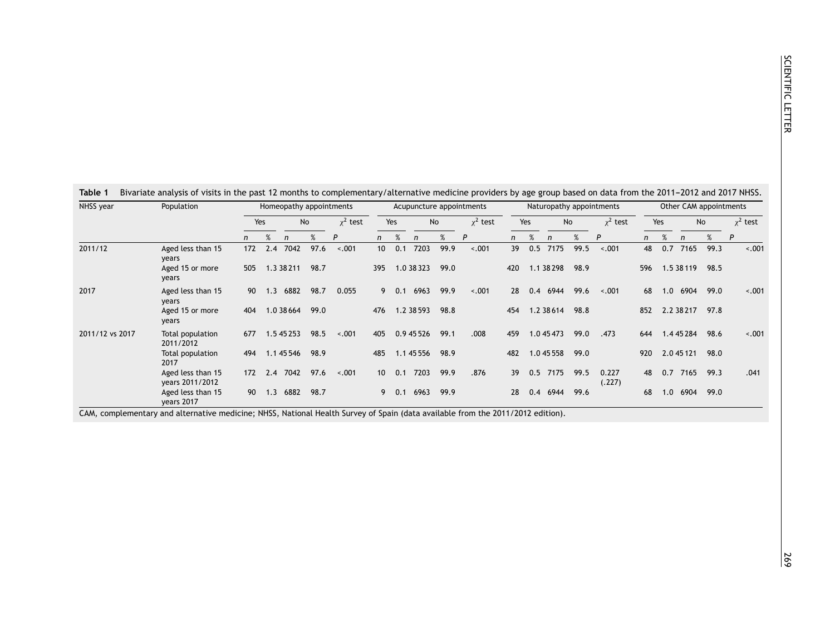<span id="page-1-0"></span>

| NHSS year       | Population                           |              |     |            |           | Homeopathy appointments |                 |     |            |      | Acupuncture appointments |              |     |              |      | Naturopathy appointments | Other CAM appointments |     |            |      |               |
|-----------------|--------------------------------------|--------------|-----|------------|-----------|-------------------------|-----------------|-----|------------|------|--------------------------|--------------|-----|--------------|------|--------------------------|------------------------|-----|------------|------|---------------|
|                 |                                      | Yes          |     |            | <b>No</b> | $x^2$ test              | Yes             |     | <b>No</b>  |      | $x^2$ test               | Yes          |     | No           |      | $x^2$ test               | Yes                    |     | <b>No</b>  |      | $\chi^2$ test |
|                 |                                      | $\mathsf{n}$ | %   | n          | %         | P                       | n               | %   | n          | %    | P                        | $\mathsf{n}$ | %   | $\mathsf{n}$ | %    | P                        | $\mathsf{n}$           | %   | n          | %    | P             |
| 2011/12         | Aged less than 15<br>years           | 172          | 2.4 | 7042       | 97.6      | $-.001$                 | 10 <sup>°</sup> | 0.1 | 7203       | 99.9 | $-.001$                  | 39           | 0.5 | 7175         | 99.5 | $-.001$                  | 48                     | 0.7 | 7165       | 99.3 | $-.001$       |
|                 | Aged 15 or more<br>years             | 505          |     | 1.3 38 211 | 98.7      |                         | 395             |     | 1.0 38 323 | 99.0 |                          | 420          |     | 1.1 38 298   | 98.9 |                          | 596                    |     | 1.5 38 119 | 98.5 |               |
| 2017            | Aged less than 15<br>years           | 90           | 1.3 | 6882       | 98.7      | 0.055                   | 9               | 0.1 | 6963       | 99.9 | $-.001$                  | 28           | 0.4 | 6944         | 99.6 | $-.001$                  | 68                     | 1.0 | 6904       | 99.0 | $-.001$       |
|                 | Aged 15 or more<br>years             | 404          |     | 1.0 38 664 | 99.0      |                         | 476             |     | 1.2 38 593 | 98.8 |                          | 454          |     | 1.2 38 614   | 98.8 |                          | 852                    |     | 2.2 38 217 | 97.8 |               |
| 2011/12 vs 2017 | Total population<br>2011/2012        | 677          |     | 1.5 45 253 | 98.5      | $-.001$                 | 405             |     | 0.9 45 526 | 99.1 | .008                     | 459          |     | 1.0 45 473   | 99.0 | .473                     | 644                    |     | 1.4 45 284 | 98.6 | $-.001$       |
|                 | Total population<br>2017             | 494          |     | 1.1 45 546 | 98.9      |                         | 485             |     | 1.1 45 556 | 98.9 |                          | 482          |     | 1.0 45 558   | 99.0 |                          | 920                    |     | 2.0 45 121 | 98.0 |               |
|                 | Aged less than 15<br>years 2011/2012 | 172          | 2.4 | 7042       | 97.6      | $-.001$                 | 10 <sup>1</sup> | 0.1 | 7203       | 99.9 | .876                     | 39           | 0.5 | 7175         | 99.5 | 0.227<br>(.227)          | 48                     | 0.7 | 7165       | 99.3 | .041          |
|                 | Aged less than 15<br>years 2017      | 90           | 1.3 | 6882       | 98.7      |                         | 9               | 0.1 | 6963       | 99.9 |                          | 28           | 0.4 | 6944         | 99.6 |                          | 68                     | 1.0 | 6904       | 99.0 |               |

CAM, complementary and alternative medicine; NHSS, National Health Survey of Spain (data available from the 2011/2012 edition).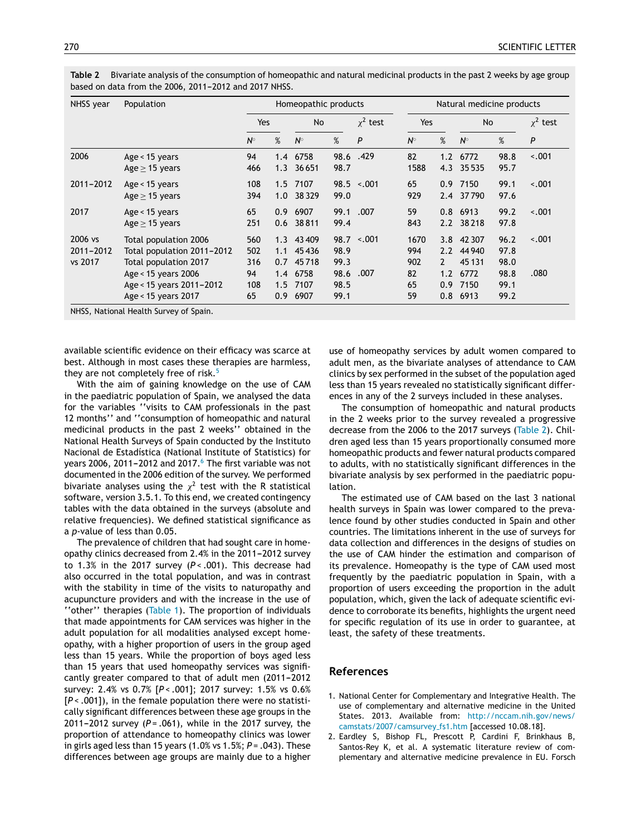| NHSS year                       | Population                                                                   |                   |                   | Homeopathic products         |                      |                   | Natural medicine products |                                      |                          |                      |         |  |
|---------------------------------|------------------------------------------------------------------------------|-------------------|-------------------|------------------------------|----------------------|-------------------|---------------------------|--------------------------------------|--------------------------|----------------------|---------|--|
|                                 |                                                                              | Yes               |                   | <b>No</b>                    |                      | $\chi^2$ test     | Yes                       |                                      | No                       | $\chi^2$ test<br>P   |         |  |
|                                 |                                                                              | $N^{\circ}$       | %                 | %<br>$N^{\circ}$             |                      | P                 | $N^{\circ}$               | %                                    | $N^{\circ}$              |                      | %       |  |
| 2006                            | Age < $15$ years<br>$Age > 15$ years                                         | 94<br>466         | 1.4               | 6758<br>1.3 36651            | 98.7                 | 98.6 .429         | 82<br>1588                | 1.2                                  | 6772<br>4.3 35535        | 98.8<br>95.7         | $-.001$ |  |
| 2011-2012                       | Age $<$ 15 years<br>Age $\geq$ 15 years                                      | 108<br>394        | 1.0               | 1.5 7107<br>38329            | 99.0                 | $98.5 \div 0.001$ | 65<br>929                 |                                      | 0.9 7150<br>2.4 37790    | 99.1<br>97.6         | $-.001$ |  |
| 2017                            | Age < $15$ years<br>Age $\geq$ 15 years                                      | 65<br>251         | 0.9<br>0.6        | 6907<br>38811                | 99.1<br>99.4         | .007              | 59<br>843                 | 0.8                                  | 6913<br>2.2 38218        | 99.2<br>97.8         | $-.001$ |  |
| 2006 vs<br>2011-2012<br>vs 2017 | Total population 2006<br>Total population 2011-2012<br>Total population 2017 | 560<br>502<br>316 | 1.1<br>0.7        | 1.3 43 409<br>45436<br>45718 | 98.9<br>99.3         | $98.7 \div 0.001$ | 1670<br>994<br>902        | 3.8<br>$2.2^{\circ}$<br>$\mathbf{2}$ | 42 307<br>44940<br>45131 | 96.2<br>97.8<br>98.0 | $-.001$ |  |
|                                 | Age < 15 years 2006<br>Age < 15 years 2011-2012<br>Age < 15 years 2017       | 94<br>108<br>65   | 1.4<br>1.5<br>0.9 | 6758<br>7107<br>6907         | 98.6<br>98.5<br>99.1 | .007              | 82<br>65<br>59            | 1.2<br>0.9<br>0.8                    | 6772<br>7150<br>6913     | 98.8<br>99.1<br>99.2 | .080    |  |

<span id="page-2-0"></span>**Table 2** Bivariate analysis of the consumption of homeopathic and natural medicinal products in the past 2 weeks by age group based on data from the 2006, 2011-2012 and 2017 NHSS.

NHSS, National Health Survey of Spain.

available scientific evidence on their efficacy was scarce at best. Although in most cases these therapies are harmless, they are not completely free of risk.<sup>[5](#page-3-0)</sup>

With the aim of gaining knowledge on the use of CAM in the paediatric population of Spain, we analysed the data for the variables ''visits to CAM professionals in the past 12 months'' and ''consumption of homeopathic and natural medicinal products in the past 2 weeks'' obtained in the National Health Surveys of Spain conducted by the Instituto Nacional de Estadística (National Institute of Statistics) for years 2006, 2011-2012 and 2017. $6$  [T](#page-3-0)he first variable was not documented in the 2006 edition of the survey. We performed bivariate analyses using the  $\chi^2$  test with the R statistical software, version 3.5.1. To this end, we created contingency tables with the data obtained in the surveys (absolute and relative frequencies). We defined statistical significance as a *p*-value of less than 0.05.

The prevalence of children that had sought care in homeopathy clinics decreased from 2.4% in the 2011-2012 survey to 1.3% in the 2017 survey (*P* < .001). This decrease had also occurred in the total population, and was in contrast with the stability in time of the visits to naturopathy and acupuncture providers and with the increase in the use of ''other'' therapies ([Table](#page-1-0) 1). The proportion of individuals that made appointments for CAM services was higher in the adult population for all modalities analysed except homeopathy, with a higher proportion of users in the group aged less than 15 years. While the proportion of boys aged less than 15 years that used homeopathy services was significantly greater compared to that of adult men (2011-2012) survey: 2.4% vs 0.7% [*P* < .001]; 2017 survey: 1.5% vs 0.6% [*P* < .001]), in the female population there were no statistically significant differences between these age groups in the  $2011 - 2012$  survey ( $P = .061$ ), while in the 2017 survey, the proportion of attendance to homeopathy clinics was lower in girls aged less than 15 years (1.0% vs 1.5%; *P* = .043). These differences between age groups are mainly due to a higher

use of homeopathy services by adult women compared to adult men, as the bivariate analyses of attendance to CAM clinics by sex performed in the subset of the population aged less than 15 years revealed no statistically significant differences in any of the 2 surveys included in these analyses.

The consumption of homeopathic and natural products in the 2 weeks prior to the survey revealed a progressive decrease from the 2006 to the 2017 surveys (Table 2). Children aged less than 15 years proportionally consumed more homeopathic products and fewer natural products compared to adults, with no statistically significant differences in the bivariate analysis by sex performed in the paediatric population.

The estimated use of CAM based on the last 3 national health surveys in Spain was lower compared to the prevalence found by other studies conducted in Spain and other countries. The limitations inherent in the use of surveys for data collection and differences in the designs of studies on the use of CAM hinder the estimation and comparison of its prevalence. Homeopathy is the type of CAM used most frequently by the paediatric population in Spain, with a proportion of users exceeding the proportion in the adult population, which, given the lack of adequate scientific evidence to corroborate its benefits, highlights the urgent need for specific regulation of its use in order to guarantee, at least, the safety of these treatments.

## **References**

- 1. National Center for Complementary and Integrative Health. The use of complementary and alternative medicine in the United States. 2013. Available from: [http://nccam.nih.gov/news/](http://nccam.nih.gov/news/camstats/2007/camsurvey_fs1.htm) [camstats/2007/camsurvey](http://nccam.nih.gov/news/camstats/2007/camsurvey_fs1.htm) fs1.htm [accessed 10.08.18].
- 2. Eardley S, Bishop FL, Prescott P, Cardini F, Brinkhaus B, Santos-Rey K, et al. A systematic literature review of complementary and alternative medicine prevalence in EU. Forsch